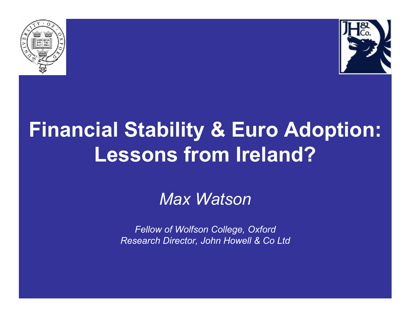



## **Financial Stability & Euro Adoption: Lessons from Ireland?**

#### *Max Watson*

*Fellow of Wolfson College, OxfordResearch Director, John Howell & Co Ltd*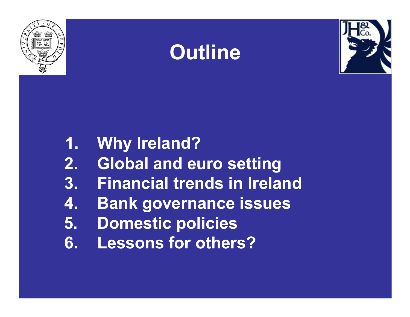





- **1. Why Ireland?**
- **2. Global and euro setting**
- **3. Financial trends in Ireland**
- **4. Bank governance issues**
- **5. Domestic policies**
- **6. Lessons for others?**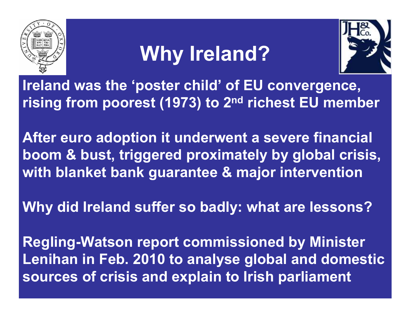

# **Why Ireland?**



**Ireland was the 'poster child' of EU convergence, rising from poorest (1973) to 2nd richest EU member**

**After euro adoption it underwent a severe financialboom & bust, triggered proximately by global crisis, with blanket bank guarantee & major intervention**

**Why did Ireland suffer so badly: what are lessons?**

**Regling-Watson report commissioned by Minister Lenihan in Feb. 2010 to analyse global and domesticsources of crisis and explain to Irish parliament**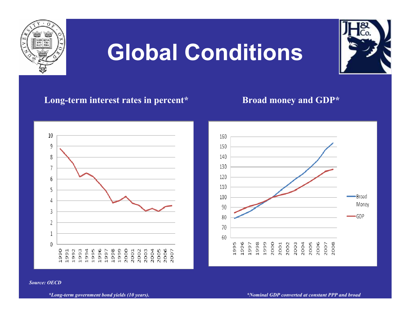

# **Global Conditions**

#### Long-term interest rates in percent\* Broad money and GDP\*





*Source: OECD*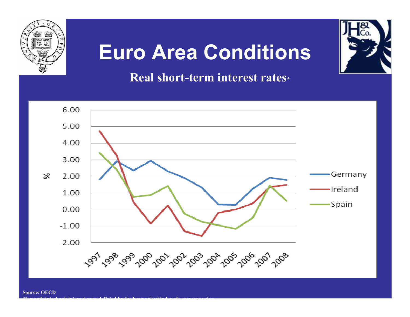

#### **Euro Area Conditions**

#### **Real short-term interest rates\***



**\*3-month interbank interest rates deflated by the harmonised index of consumer prices.**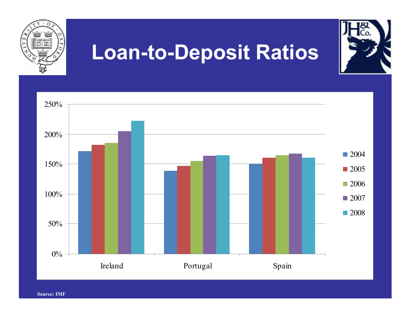

**Source: IMF**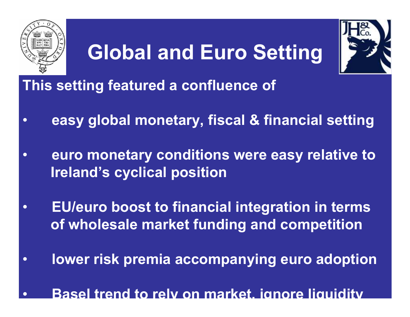

### **Global and Euro Setting**



**This setting featured a confluence of** 

- •**easy global monetary, fiscal & financial setting**
- • **euro monetary conditions were easy relative toIreland's cyclical position**
- • **EU/euro boost to financial integration in terms of wholesale market funding and competition**
- •**lower risk premia accompanying euro adoption**
- $\bullet$ **Basel trend to rely on market, ignore liquidity**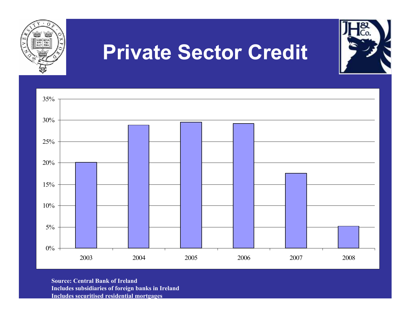

**Source: Central Bank of Ireland Includes subsidiaries of foreign banks in IrelandIncludes securitised residential mortgages**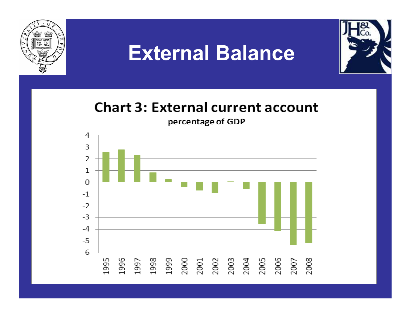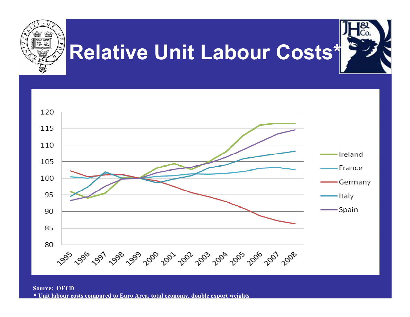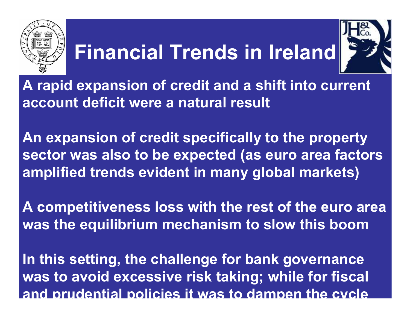

# **Financial Trends in Ireland**



**A rapid expansion of credit and a shift into current account deficit were a natural result**

**An expansion of credit specifically to the property sector was also to be expected (as euro area factors amplified trends evident in many global markets)**

**A competitiveness loss with the rest of the euro area was the equilibrium mechanism to slow this boom**

**In this setting, the challenge for bank governance was to avoid excessive risk taking; while for fiscal and prudential policies it was to dampen the cycle**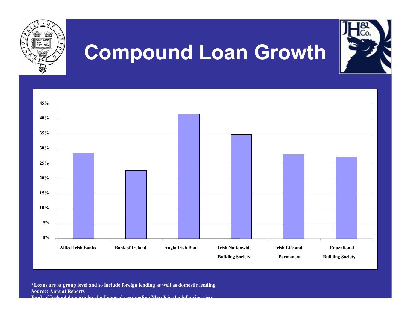

**\*Loans are at group level and so include foreign lending as well as domestic lending Source: Annual Reports Bank of Ireland data are for the financial year ending March in the following year**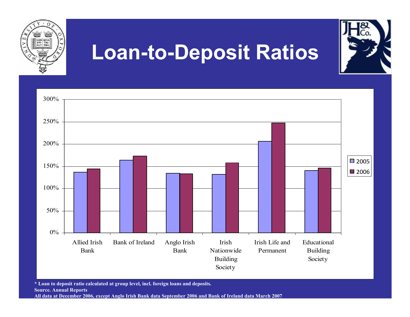

**\* Loan to deposit ratio calculated at group level, incl. foreign loans and deposits. Source. Annual Reports All data at December 2006, except Anglo Irish Bank data September 2006 and Bank of Ireland data March 2007**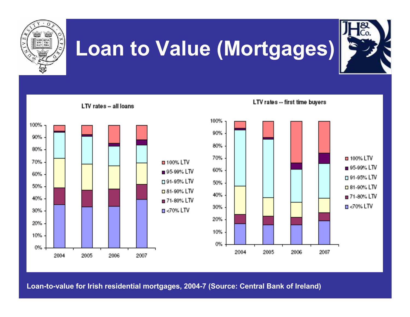

### **Loan to Value (Mortgages)**



LTV rates -- first time buyers LTV rates -- all loans 100% 100% 90% 90% 80% 80% 70%  $\Box$  100% LTV 70% **□ 100% LTV** ■ 95-99% LTV 60% ■ 95-99% LTV 60% □ 91-95% LTV □ 91-95% LTV 50% 50% □ 81-90% LTV □ 81-90% LTV 40% **■ 71-80% LTV** 40% ■ 71-80% LTV  $\blacksquare$  <70% LTV 30%  $\Box$  <70% LTV 30% 20% 20% 10% 10% 0% 0% 2004 2005 2006 2007 2004 2005 2006 2007

**Loan-to-value for Irish residential mortgages, 2004-7 (Source: Central Bank of Ireland)**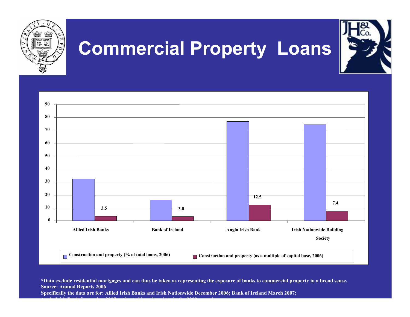

**\*Data exclude residential mortgages and can thus be taken as representing the exposure of banks to commercial property in a broad sense.Source: Annual Reports 2006** 

**Specifically the data are for: Allied Irish Banks and Irish Nationwide December 2006; Bank of Ireland March 2007;** 

**Anglo Irish Bank September 2007, estimated based on data in the 2008 annual report.**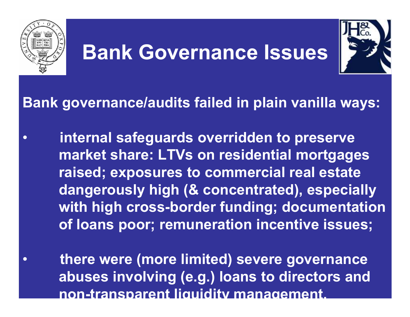

•

#### **Bank Governance Issues**



#### **Bank governance/audits failed in plain vanilla ways:**

- $\bullet$  **internal safeguards overridden to preserve market share: LTVs on residential mortgages raised; exposures to commercial real estate dangerously high (& concentrated), especially with high cross-border funding; documentation of loans poor; remuneration incentive issues;**
	- **there were (more limited) severe governance abuses involving (e.g.) loans to directors andnon-transparent liquidity management.**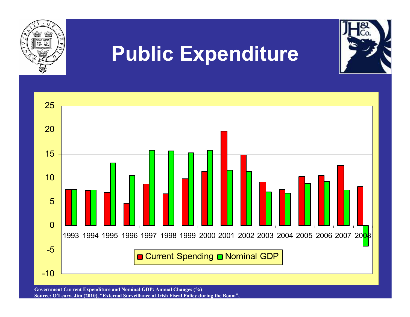

**Government Current Expenditure and Nominal GDP: Annual Changes (%) Source: O'Leary, Jim (2010), "External Surveillance of Irish Fiscal Policy during the Boom",**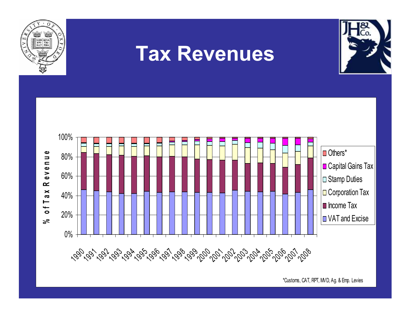

#### **Tax Revenues**





\*Customs, CAT, RPT, MVD, Ag. & Emp. Levies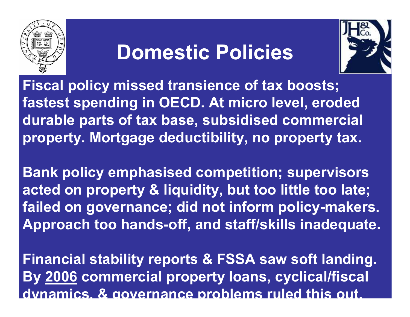

#### **Domestic Policies**



**Fiscal policy missed transience of tax boosts; fastest spending in OECD. At micro level, eroded durable parts of tax base, subsidised commercial property. Mortgage deductibility, no property tax.** 

**Bank policy emphasised competition; supervisors acted on property & liquidity, but too little too late; failed on governance; did not inform policy-makers.Approach too hands-off, and staff/skills inadequate.**

**Financial stability reports & FSSA saw soft landing. By 2006 commercial property loans, cyclical/fiscal dynamics, & governance problems ruled this out.**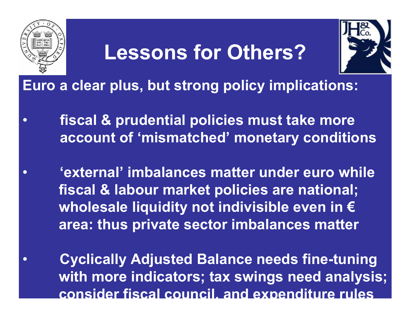

•

•

#### **Lessons for Others?**



**Euro a clear plus, but strong policy implications:**

- $\bullet$  **fiscal & prudential policies must take more account of 'mismatched' monetary conditions**
	- **'external' imbalances matter under euro while fiscal & labour market policies are national;wholesale liquidity not indivisible even in €area: thus private sector imbalances matter**
	- **Cyclically Adjusted Balance needs fine-tuning with more indicators; tax swings need analysis;consider fiscal council, and expenditure rules**